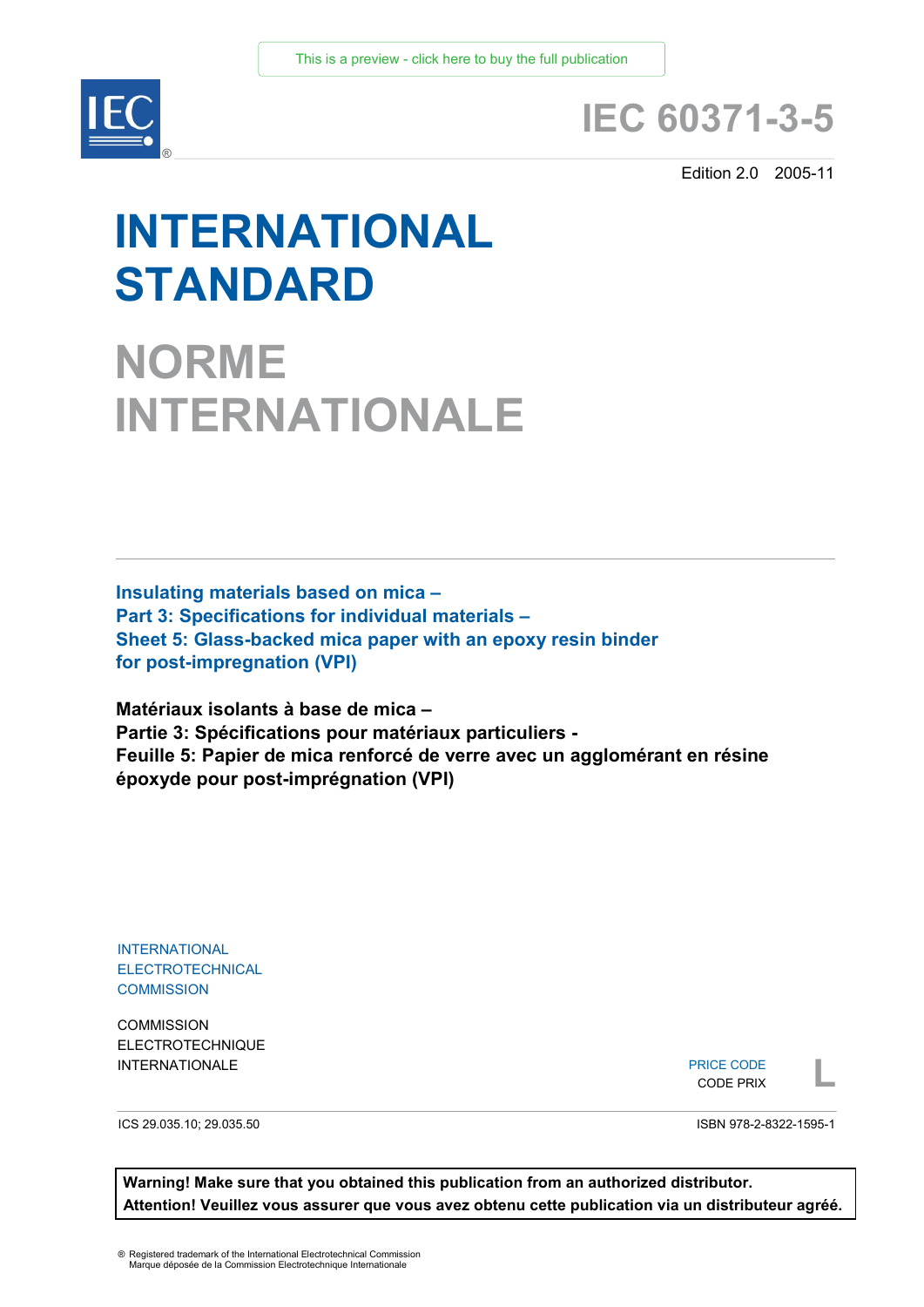

## **IEC 60371-3-5**

Edition 2.0 2005-11

# **INTERNATIONAL STANDARD**

**NORME INTERNATIONALE**

**Insulating materials based on mica – Part 3: Specifications for individual materials – Sheet 5: Glass-backed mica paper with an epoxy resin binder for post-impregnation (VPI)**

**Matériaux isolants à base de mica – Partie 3: Spécifications pour matériaux particuliers - Feuille 5: Papier de mica renforcé de verre avec un agglomérant en résine époxyde pour post-imprégnation (VPI)**

INTERNATIONAL ELECTROTECHNICAL **COMMISSION** 

**COMMISSION** ELECTROTECHNIQUE

INTERNATIONALE PRICE CODE PRIX PRICE CODE CODE PRIX

ICS 29.035.10; 29.035.50

ISBN 978-2-8322-1595-1

**Warning! Make sure that you obtained this publication from an authorized distributor. Attention! Veuillez vous assurer que vous avez obtenu cette publication via un distributeur agréé.**

® Registered trademark of the International Electrotechnical Commission Marque déposée de la Commission Electrotechnique Internationale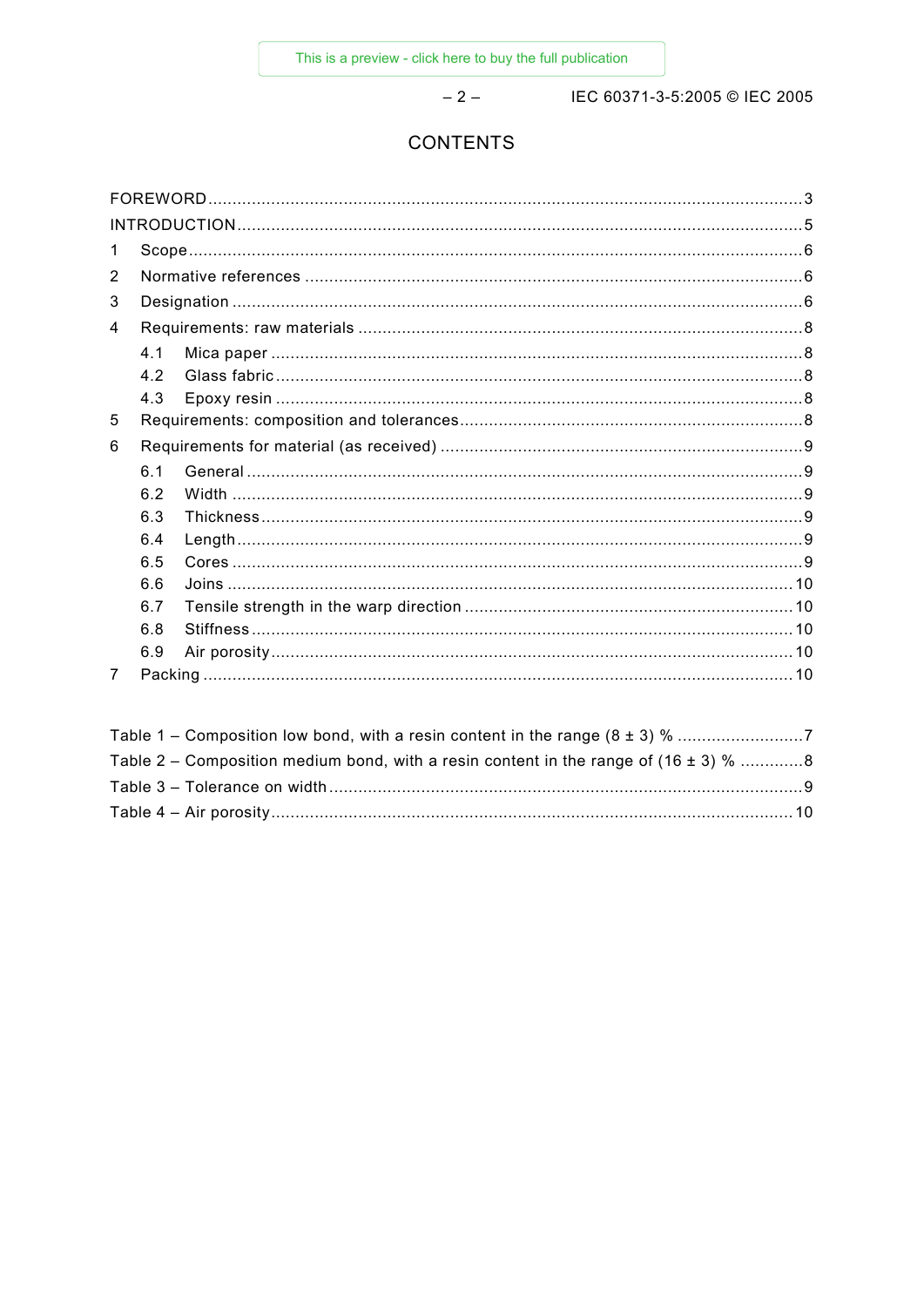$-2-$ 

IEC 60371-3-5:2005 © IEC 2005

## **CONTENTS**

| 1 |     |  |  |  |  |  |
|---|-----|--|--|--|--|--|
| 2 |     |  |  |  |  |  |
| 3 |     |  |  |  |  |  |
| 4 |     |  |  |  |  |  |
|   | 4.1 |  |  |  |  |  |
|   | 42  |  |  |  |  |  |
|   | 4.3 |  |  |  |  |  |
| 5 |     |  |  |  |  |  |
| 6 |     |  |  |  |  |  |
|   | 6.1 |  |  |  |  |  |
|   | 6.2 |  |  |  |  |  |
|   | 6.3 |  |  |  |  |  |
|   | 6.4 |  |  |  |  |  |
|   | 6.5 |  |  |  |  |  |
|   | 6.6 |  |  |  |  |  |
|   | 6.7 |  |  |  |  |  |
|   | 6.8 |  |  |  |  |  |
|   | 6.9 |  |  |  |  |  |
| 7 |     |  |  |  |  |  |

| Table 2 – Composition medium bond, with a resin content in the range of (16 $\pm$ 3) % 8 |  |
|------------------------------------------------------------------------------------------|--|
|                                                                                          |  |
|                                                                                          |  |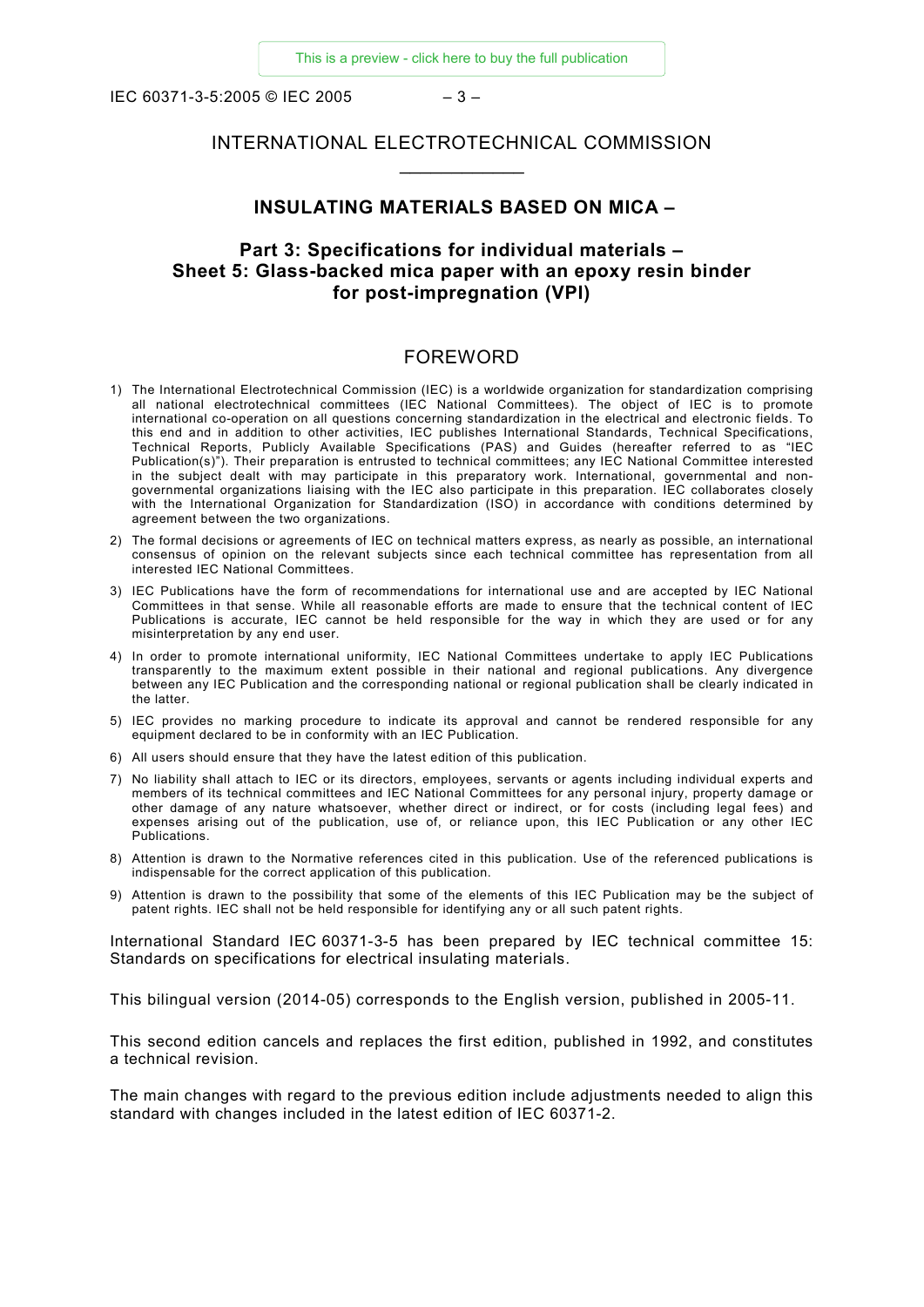IEC 60371-3-5:2005 © IEC 2005 – 3 –

## INTERNATIONAL ELECTROTECHNICAL COMMISSION \_\_\_\_\_\_\_\_\_\_\_\_

#### **INSULATING MATERIALS BASED ON MICA –**

## **Part 3: Specifications for individual materials – Sheet 5: Glass-backed mica paper with an epoxy resin binder for post-impregnation (VPI)**

#### FOREWORD

- 1) The International Electrotechnical Commission (IEC) is a worldwide organization for standardization comprising all national electrotechnical committees (IEC National Committees). The object of IEC is to promote international co-operation on all questions concerning standardization in the electrical and electronic fields. To this end and in addition to other activities, IEC publishes International Standards, Technical Specifications, Technical Reports, Publicly Available Specifications (PAS) and Guides (hereafter referred to as "IEC Publication(s)"). Their preparation is entrusted to technical committees; any IEC National Committee interested in the subject dealt with may participate in this preparatory work. International, governmental and nongovernmental organizations liaising with the IEC also participate in this preparation. IEC collaborates closely with the International Organization for Standardization (ISO) in accordance with conditions determined by agreement between the two organizations.
- 2) The formal decisions or agreements of IEC on technical matters express, as nearly as possible, an international consensus of opinion on the relevant subjects since each technical committee has representation from all interested IEC National Committees.
- 3) IEC Publications have the form of recommendations for international use and are accepted by IEC National Committees in that sense. While all reasonable efforts are made to ensure that the technical content of IEC Publications is accurate, IEC cannot be held responsible for the way in which they are used or for any misinterpretation by any end user.
- 4) In order to promote international uniformity, IEC National Committees undertake to apply IEC Publications transparently to the maximum extent possible in their national and regional publications. Any divergence between any IEC Publication and the corresponding national or regional publication shall be clearly indicated in the latter.
- 5) IEC provides no marking procedure to indicate its approval and cannot be rendered responsible for any equipment declared to be in conformity with an IEC Publication.
- 6) All users should ensure that they have the latest edition of this publication.
- 7) No liability shall attach to IEC or its directors, employees, servants or agents including individual experts and members of its technical committees and IEC National Committees for any personal injury, property damage or other damage of any nature whatsoever, whether direct or indirect, or for costs (including legal fees) and expenses arising out of the publication, use of, or reliance upon, this IEC Publication or any other IEC Publications.
- 8) Attention is drawn to the Normative references cited in this publication. Use of the referenced publications is indispensable for the correct application of this publication.
- 9) Attention is drawn to the possibility that some of the elements of this IEC Publication may be the subject of patent rights. IEC shall not be held responsible for identifying any or all such patent rights.

International Standard IEC 60371-3-5 has been prepared by IEC technical committee 15: Standards on specifications for electrical insulating materials.

This bilingual version (2014-05) corresponds to the English version, published in 2005-11.

This second edition cancels and replaces the first edition, published in 1992, and constitutes a technical revision.

The main changes with regard to the previous edition include adjustments needed to align this standard with changes included in the latest edition of IEC 60371-2.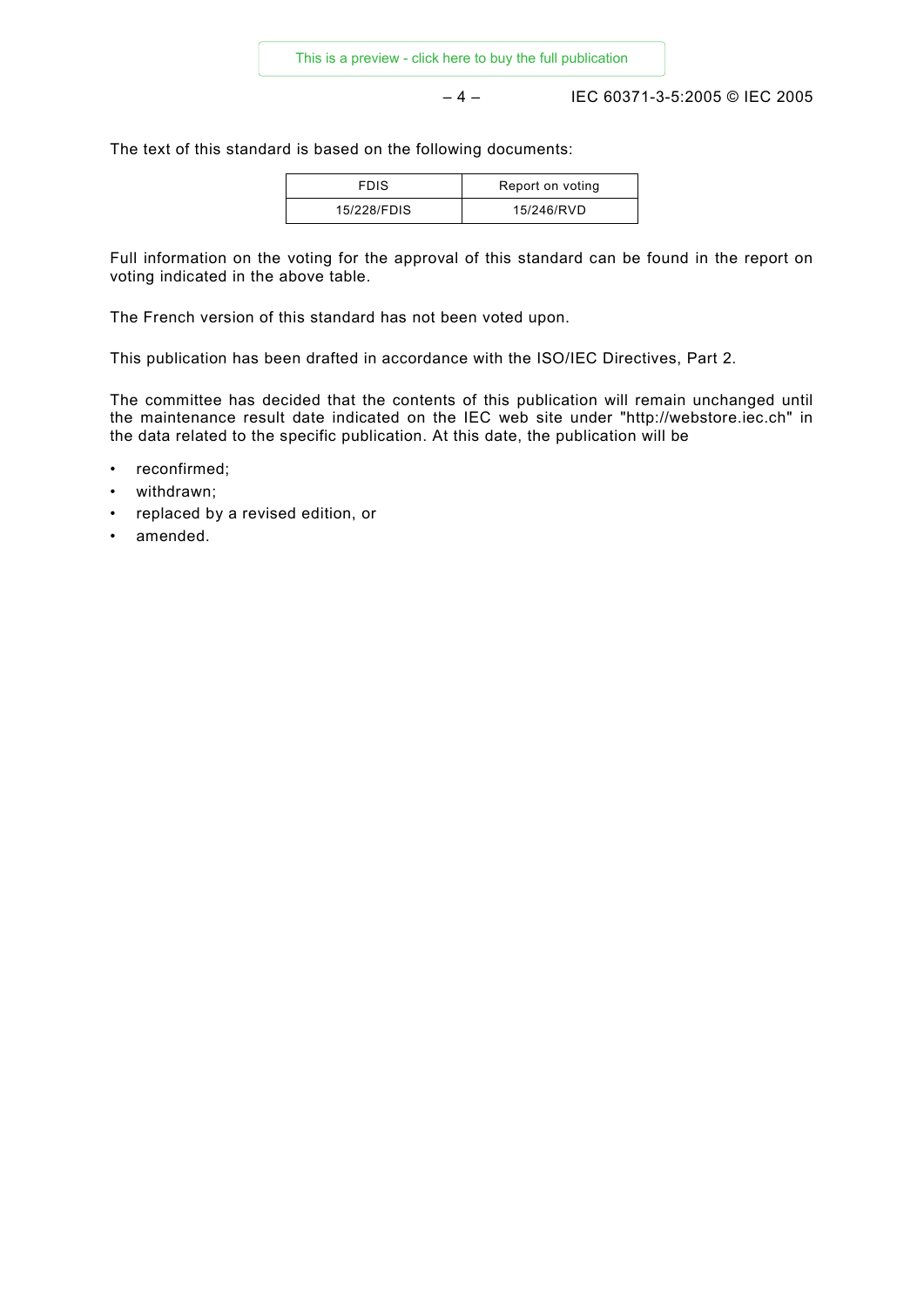– 4 – IEC 60371-3-5:2005 © IEC 2005

The text of this standard is based on the following documents:

| <b>FDIS</b> | Report on voting |
|-------------|------------------|
| 15/228/FDIS | 15/246/RVD       |

Full information on the voting for the approval of this standard can be found in the report on voting indicated in the above table.

The French version of this standard has not been voted upon.

This publication has been drafted in accordance with the ISO/IEC Directives, Part 2.

The committee has decided that the contents of this publication will remain unchanged until the maintenance result date indicated on the IEC web site under "http://webstore.iec.ch" in the data related to the specific publication. At this date, the publication will be

- reconfirmed:
- withdrawn;
- replaced by a revised edition, or
- amended.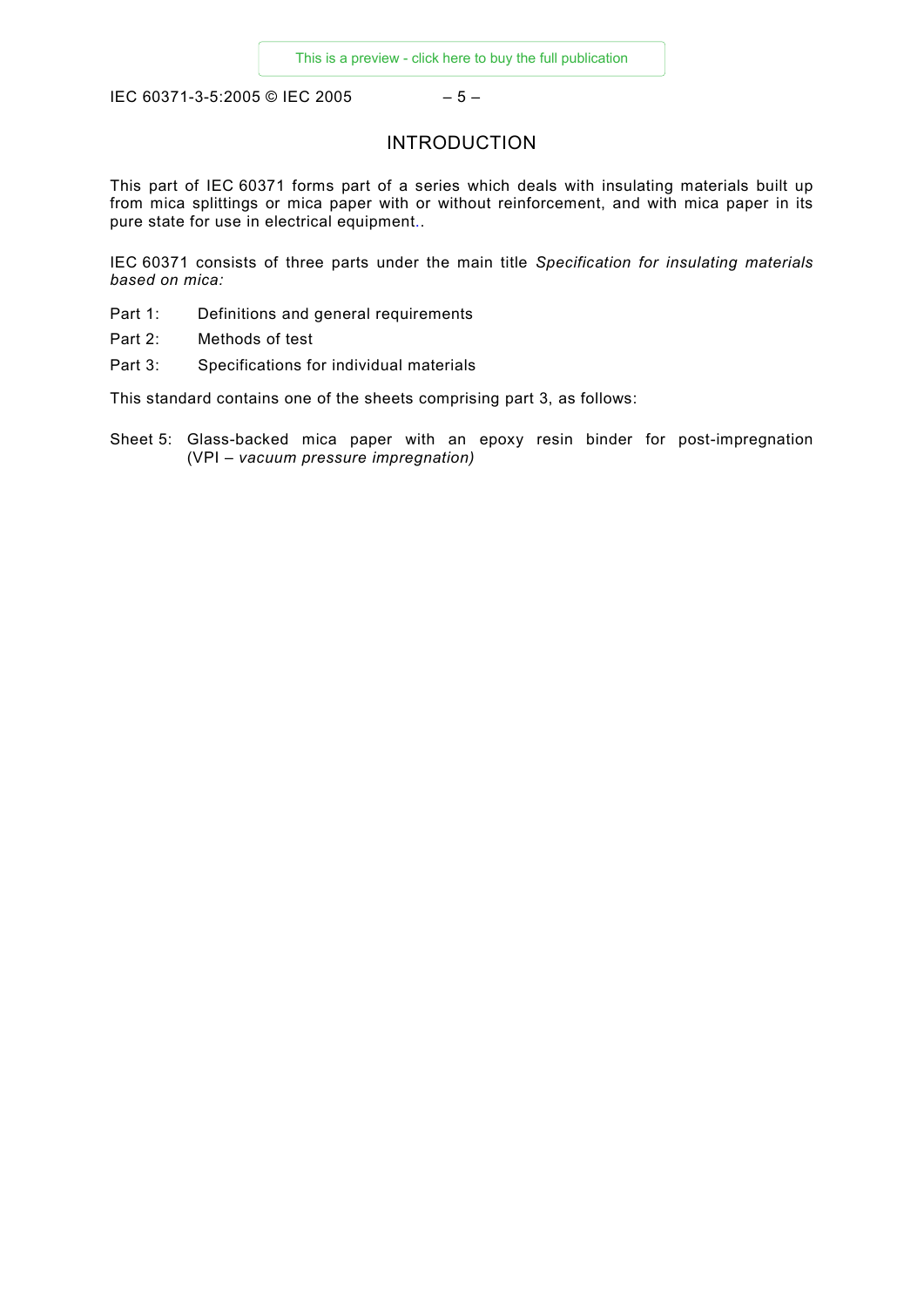IEC 60371-3-5:2005 © IEC 2005 – 5 –

## INTRODUCTION

This part of IEC 60371 forms part of a series which deals with insulating materials built up from mica splittings or mica paper with or without reinforcement, and with mica paper in its pure state for use in electrical equipment..

IEC 60371 consists of three parts under the main title *Specification for insulating materials based on mica:*

- Part 1: Definitions and general requirements
- Part 2: Methods of test
- Part 3: Specifications for individual materials

This standard contains one of the sheets comprising part 3, as follows:

Sheet 5: Glass-backed mica paper with an epoxy resin binder for post-impregnation (VPI – *vacuum pressure impregnation)*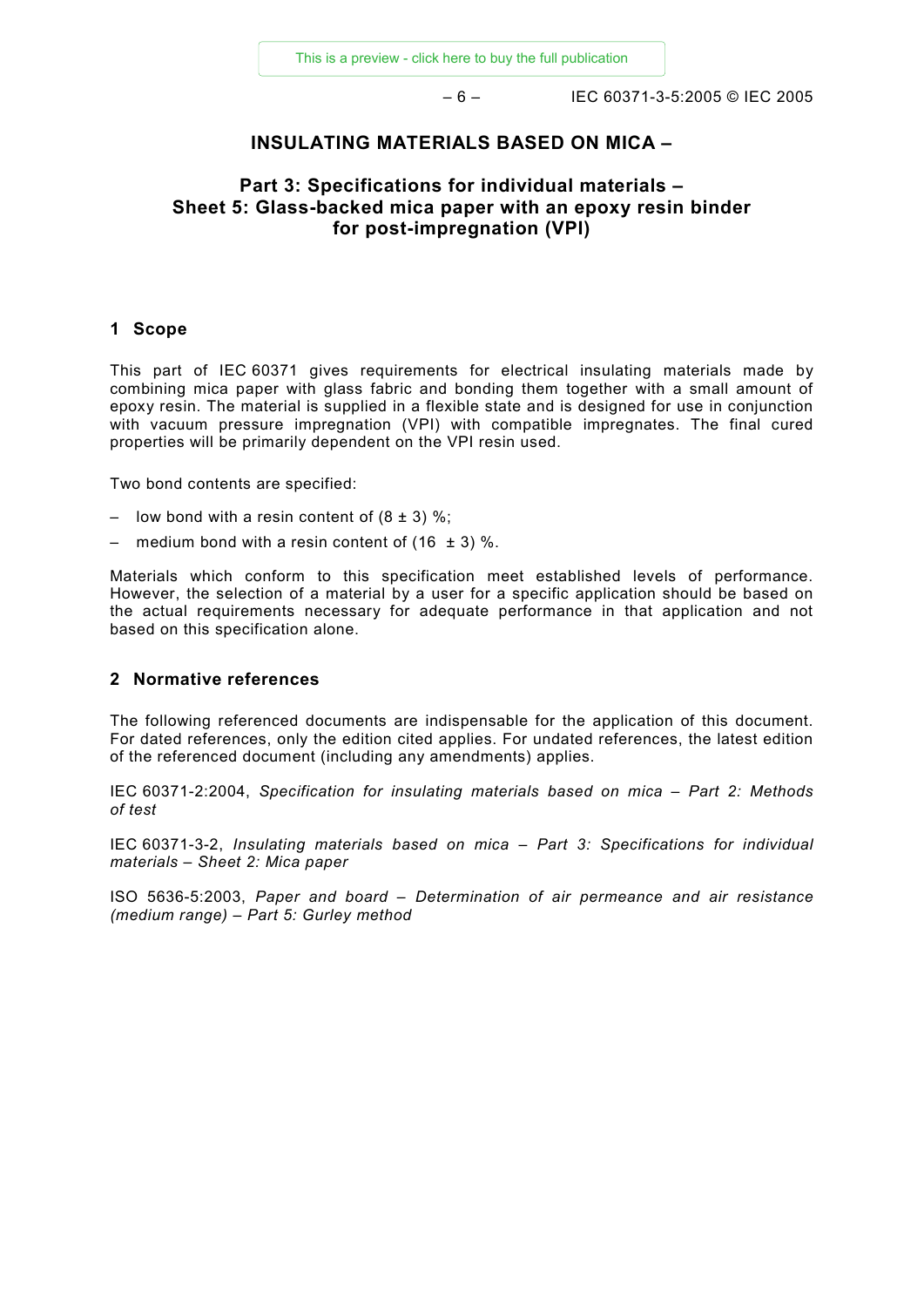– 6 – IEC 60371-3-5:2005 © IEC 2005

#### **INSULATING MATERIALS BASED ON MICA –**

## **Part 3: Specifications for individual materials – Sheet 5: Glass-backed mica paper with an epoxy resin binder for post-impregnation (VPI)**

#### **1 Scope**

This part of IEC 60371 gives requirements for electrical insulating materials made by combining mica paper with glass fabric and bonding them together with a small amount of epoxy resin. The material is supplied in a flexible state and is designed for use in conjunction with vacuum pressure impregnation (VPI) with compatible impregnates. The final cured properties will be primarily dependent on the VPI resin used.

Two bond contents are specified:

- low bond with a resin content of  $(8 \pm 3)$  %;
- medium bond with a resin content of  $(16 \pm 3)$  %.

Materials which conform to this specification meet established levels of performance. However, the selection of a material by a user for a specific application should be based on the actual requirements necessary for adequate performance in that application and not based on this specification alone.

#### **2 Normative references**

The following referenced documents are indispensable for the application of this document. For dated references, only the edition cited applies. For undated references, the latest edition of the referenced document (including any amendments) applies.

IEC 60371-2:2004, *Specification for insulating materials based on mica – Part 2: Methods of test*

IEC 60371-3-2, *Insulating materials based on mica – Part 3: Specifications for individual materials – Sheet 2: Mica paper*

ISO 5636-5:2003, *Paper and board – Determination of air permeance and air resistance (medium range) – Part 5: Gurley method*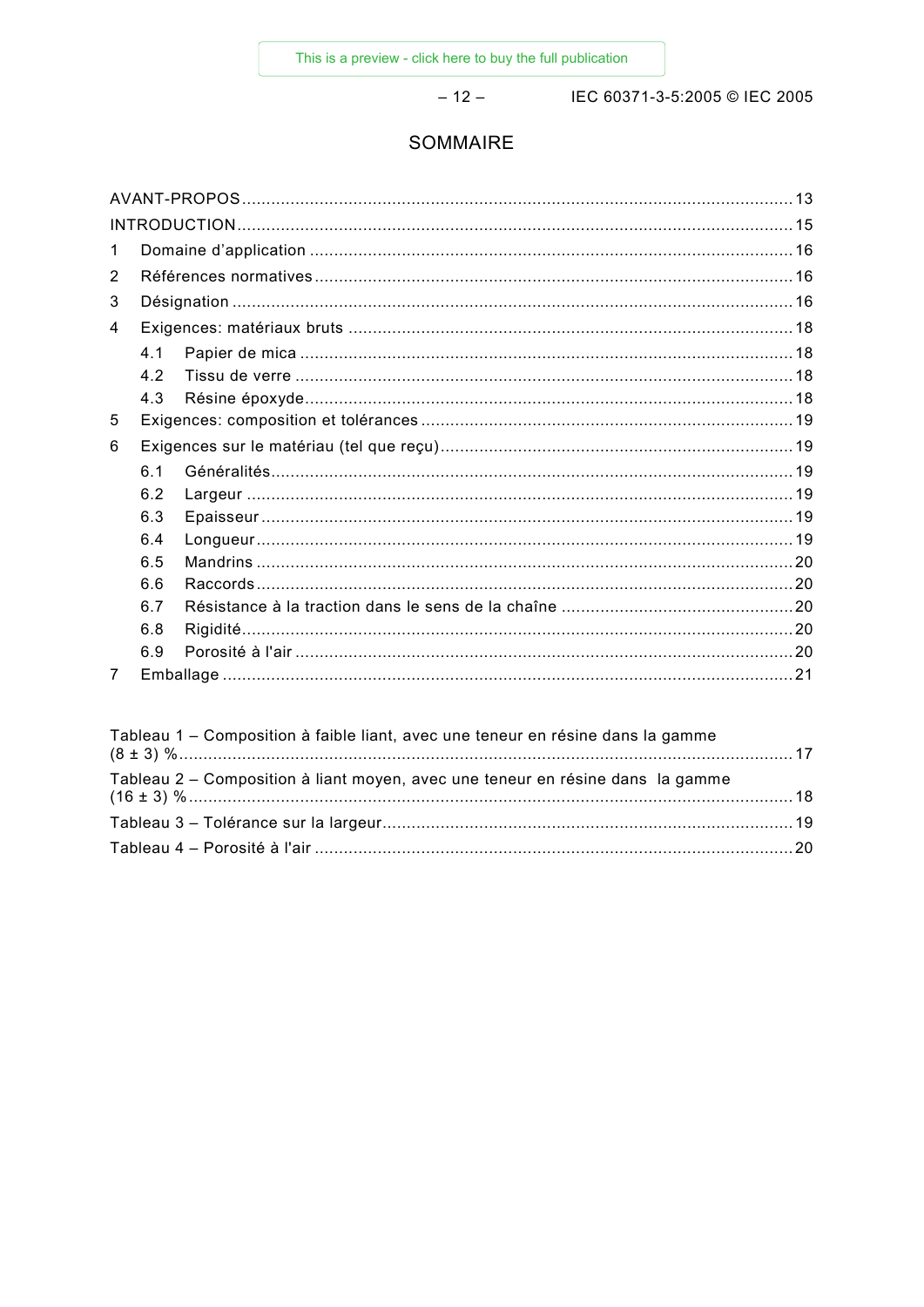$-12-$ 

IEC 60371-3-5:2005 © IEC 2005

## SOMMAIRE

| 1 |     |  |  |  |  |
|---|-----|--|--|--|--|
| 2 |     |  |  |  |  |
| 3 |     |  |  |  |  |
| 4 |     |  |  |  |  |
|   | 4.1 |  |  |  |  |
|   | 4.2 |  |  |  |  |
|   | 4.3 |  |  |  |  |
| 5 |     |  |  |  |  |
| 6 |     |  |  |  |  |
|   | 6.1 |  |  |  |  |
|   | 6.2 |  |  |  |  |
|   | 6.3 |  |  |  |  |
|   | 6.4 |  |  |  |  |
|   | 6.5 |  |  |  |  |
|   | 6.6 |  |  |  |  |
|   | 6.7 |  |  |  |  |
|   | 6.8 |  |  |  |  |
|   | 6.9 |  |  |  |  |
| 7 |     |  |  |  |  |

| Tableau 1 – Composition à faible liant, avec une teneur en résine dans la gamme |  |
|---------------------------------------------------------------------------------|--|
| Tableau 2 – Composition à liant moyen, avec une teneur en résine dans la gamme  |  |
|                                                                                 |  |
|                                                                                 |  |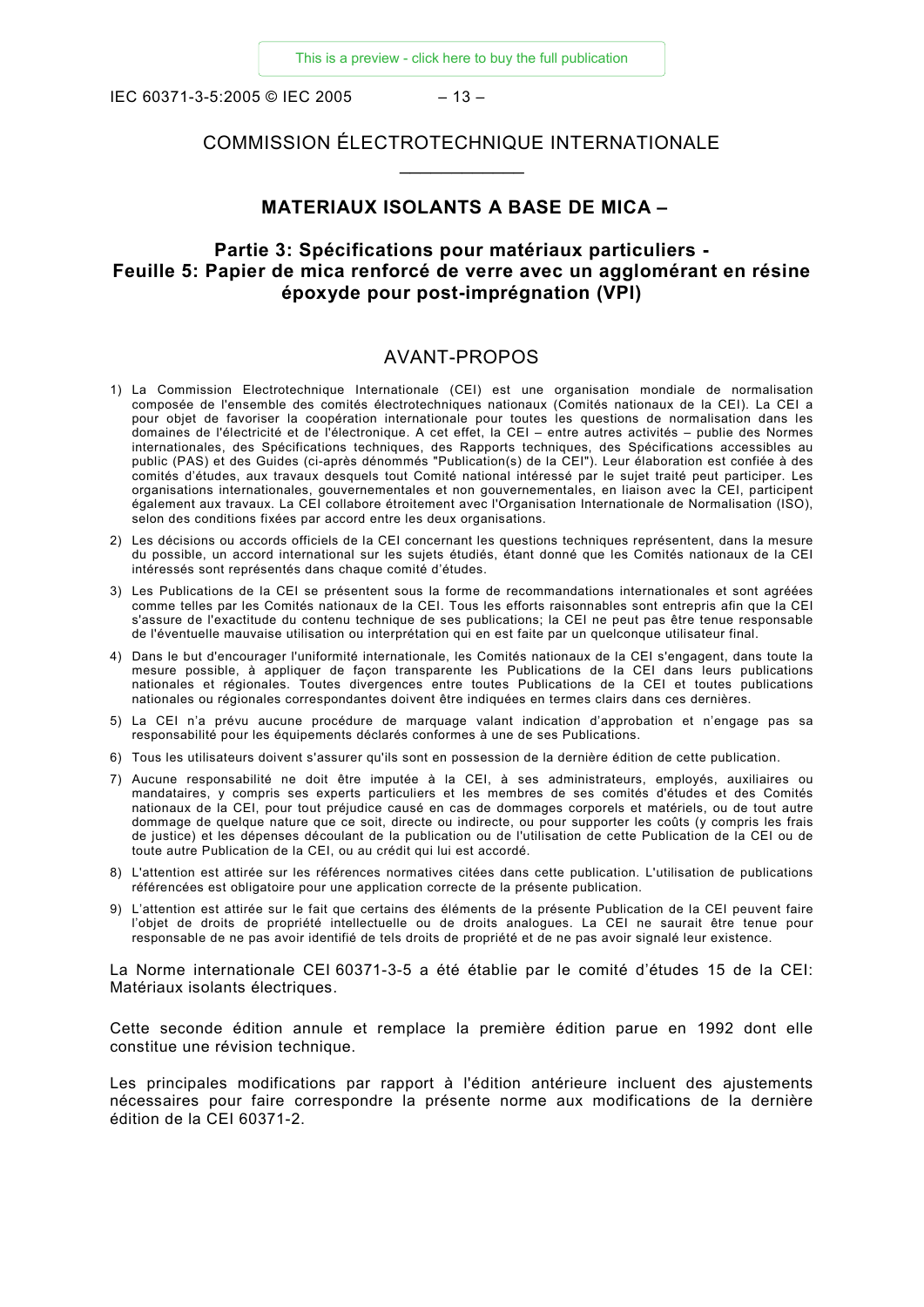IEC 60371-3-5:2005 © IEC 2005 – 13 –

## COMMISSION ÉLECTROTECHNIQUE INTERNATIONALE \_\_\_\_\_\_\_\_\_\_\_\_

#### **MATERIAUX ISOLANTS A BASE DE MICA –**

## **Partie 3: Spécifications pour matériaux particuliers - Feuille 5: Papier de mica renforcé de verre avec un agglomérant en résine époxyde pour post-imprégnation (VPI)**

#### AVANT-PROPOS

- 1) La Commission Electrotechnique Internationale (CEI) est une organisation mondiale de normalisation composée de l'ensemble des comités électrotechniques nationaux (Comités nationaux de la CEI). La CEI a pour objet de favoriser la coopération internationale pour toutes les questions de normalisation dans les domaines de l'électricité et de l'électronique. A cet effet, la CEI – entre autres activités – publie des Normes internationales, des Spécifications techniques, des Rapports techniques, des Spécifications accessibles au public (PAS) et des Guides (ci-après dénommés "Publication(s) de la CEI"). Leur élaboration est confiée à des comités d'études, aux travaux desquels tout Comité national intéressé par le sujet traité peut participer. Les organisations internationales, gouvernementales et non gouvernementales, en liaison avec la CEI, participent également aux travaux. La CEI collabore étroitement avec l'Organisation Internationale de Normalisation (ISO), selon des conditions fixées par accord entre les deux organisations.
- 2) Les décisions ou accords officiels de la CEI concernant les questions techniques représentent, dans la mesure du possible, un accord international sur les sujets étudiés, étant donné que les Comités nationaux de la CEI intéressés sont représentés dans chaque comité d'études.
- 3) Les Publications de la CEI se présentent sous la forme de recommandations internationales et sont agréées comme telles par les Comités nationaux de la CEI. Tous les efforts raisonnables sont entrepris afin que la CEI s'assure de l'exactitude du contenu technique de ses publications; la CEI ne peut pas être tenue responsable de l'éventuelle mauvaise utilisation ou interprétation qui en est faite par un quelconque utilisateur final.
- 4) Dans le but d'encourager l'uniformité internationale, les Comités nationaux de la CEI s'engagent, dans toute la mesure possible, à appliquer de façon transparente les Publications de la CEI dans leurs publications nationales et régionales. Toutes divergences entre toutes Publications de la CEI et toutes publications nationales ou régionales correspondantes doivent être indiquées en termes clairs dans ces dernières.
- 5) La CEI n'a prévu aucune procédure de marquage valant indication d'approbation et n'engage pas sa responsabilité pour les équipements déclarés conformes à une de ses Publications.
- 6) Tous les utilisateurs doivent s'assurer qu'ils sont en possession de la dernière édition de cette publication.
- 7) Aucune responsabilité ne doit être imputée à la CEI, à ses administrateurs, employés, auxiliaires ou mandataires, y compris ses experts particuliers et les membres de ses comités d'études et des Comités nationaux de la CEI, pour tout préjudice causé en cas de dommages corporels et matériels, ou de tout autre dommage de quelque nature que ce soit, directe ou indirecte, ou pour supporter les coûts (y compris les frais de justice) et les dépenses découlant de la publication ou de l'utilisation de cette Publication de la CEI ou de toute autre Publication de la CEI, ou au crédit qui lui est accordé.
- 8) L'attention est attirée sur les références normatives citées dans cette publication. L'utilisation de publications référencées est obligatoire pour une application correcte de la présente publication.
- 9) L'attention est attirée sur le fait que certains des éléments de la présente Publication de la CEI peuvent faire l'objet de droits de propriété intellectuelle ou de droits analogues. La CEI ne saurait être tenue pour responsable de ne pas avoir identifié de tels droits de propriété et de ne pas avoir signalé leur existence.

La Norme internationale CEI 60371-3-5 a été établie par le comité d'études 15 de la CEI: Matériaux isolants électriques.

Cette seconde édition annule et remplace la première édition parue en 1992 dont elle constitue une révision technique.

Les principales modifications par rapport à l'édition antérieure incluent des ajustements nécessaires pour faire correspondre la présente norme aux modifications de la dernière édition de la CEI 60371-2.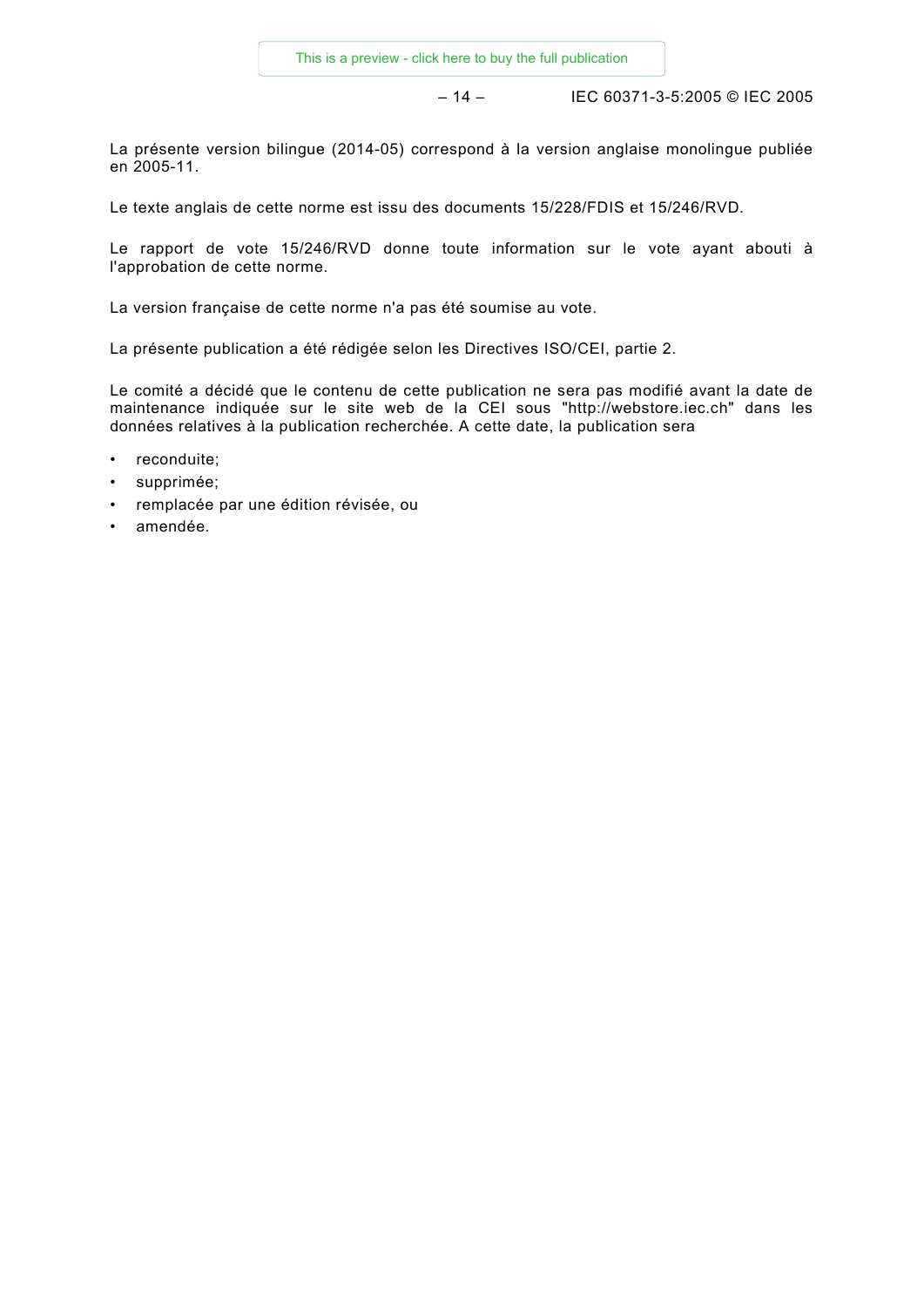– 14 – IEC 60371-3-5:2005 © IEC 2005

La présente version bilingue (2014-05) correspond à la version anglaise monolingue publiée en 2005-11.

Le texte anglais de cette norme est issu des documents 15/228/FDIS et 15/246/RVD.

Le rapport de vote 15/246/RVD donne toute information sur le vote ayant abouti à l'approbation de cette norme.

La version française de cette norme n'a pas été soumise au vote.

La présente publication a été rédigée selon les Directives ISO/CEI, partie 2.

Le comité a décidé que le contenu de cette publication ne sera pas modifié avant la date de maintenance indiquée sur le site web de la CEI sous "http://webstore.iec.ch" dans les données relatives à la publication recherchée. A cette date, la publication sera

- reconduite;
- supprimée;
- remplacée par une édition révisée, ou
- amendée.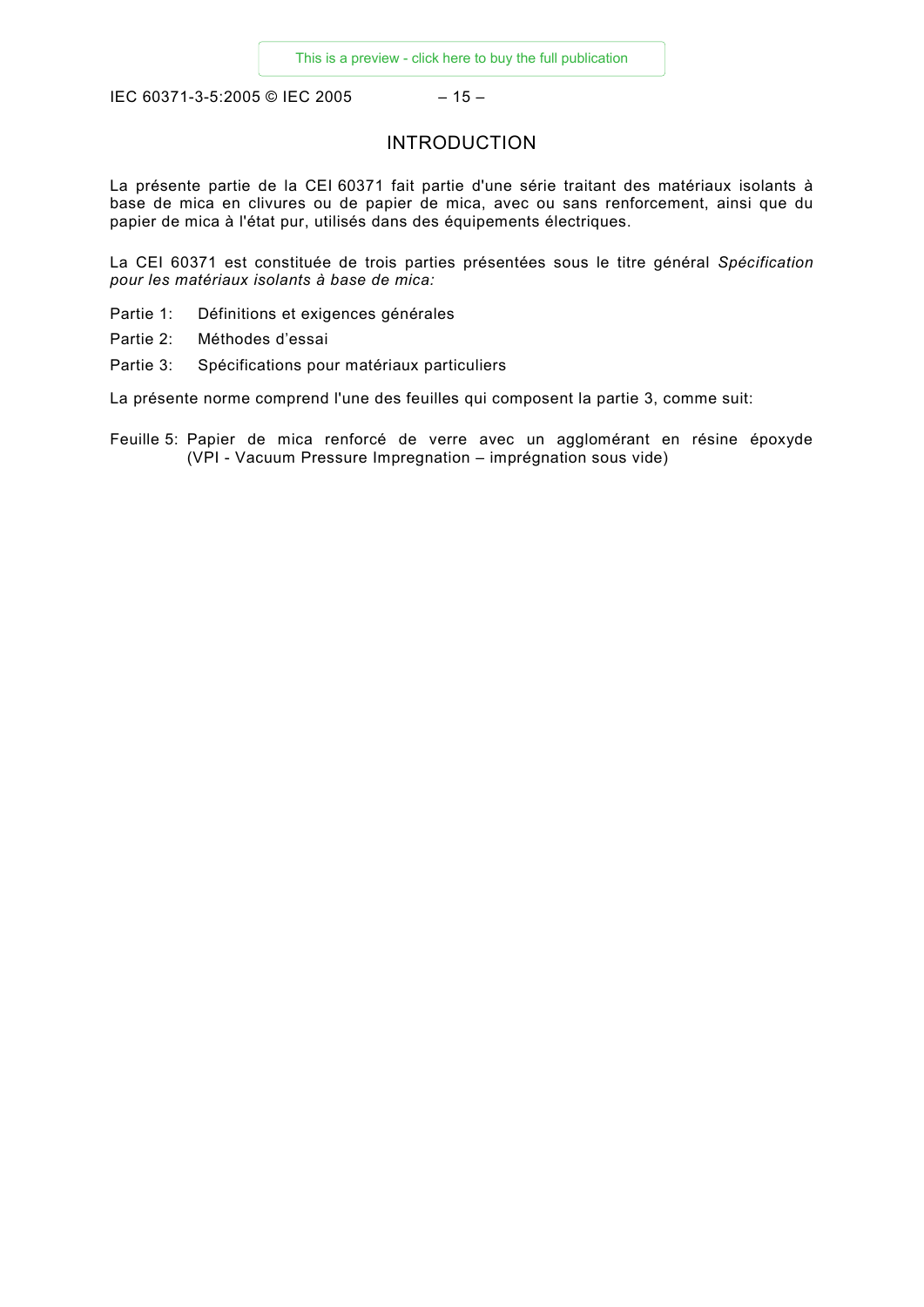IEC 60371-3-5:2005 © IEC 2005 – 15 –

## INTRODUCTION

La présente partie de la CEI 60371 fait partie d'une série traitant des matériaux isolants à base de mica en clivures ou de papier de mica, avec ou sans renforcement, ainsi que du papier de mica à l'état pur, utilisés dans des équipements électriques.

La CEI 60371 est constituée de trois parties présentées sous le titre général *Spécification pour les matériaux isolants à base de mica:*

- Partie 1: Définitions et exigences générales
- Partie 2: Méthodes d'essai
- Partie 3: Spécifications pour matériaux particuliers

La présente norme comprend l'une des feuilles qui composent la partie 3, comme suit:

Feuille 5: Papier de mica renforcé de verre avec un agglomérant en résine époxyde (VPI - Vacuum Pressure Impregnation – imprégnation sous vide)